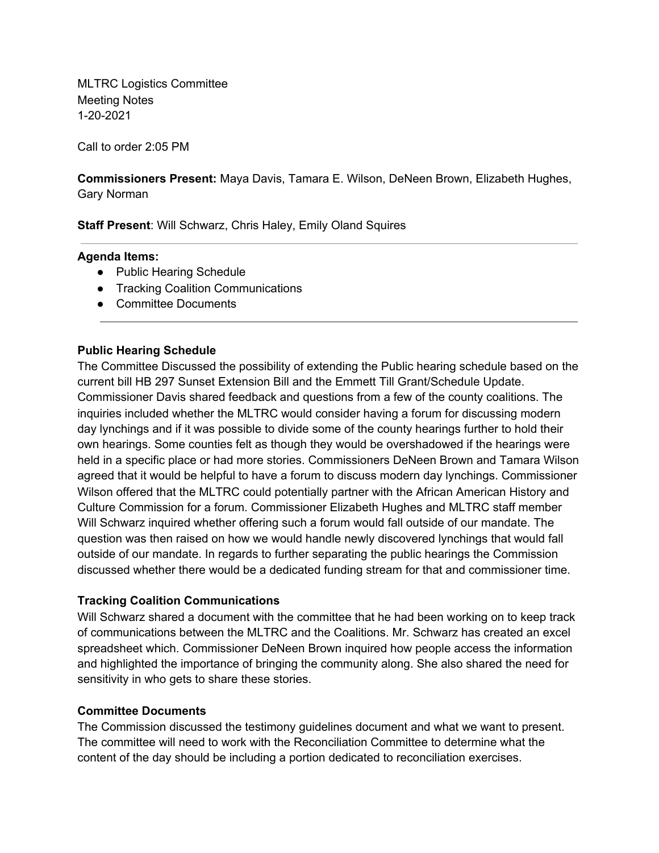MLTRC Logistics Committee Meeting Notes 1-20-2021

Call to order 2:05 PM

 **Commissioners Present:** Maya Davis, Tamara E. Wilson, DeNeen Brown, Elizabeth Hughes, Gary Norman

**Staff Present**: Will Schwarz, Chris Haley, Emily Oland Squires

### **Agenda Items:**

- Public Hearing Schedule
- Tracking Coalition Communications
- Committee Documents

# **Public Hearing Schedule**

 The Committee Discussed the possibility of extending the Public hearing schedule based on the current bill HB 297 Sunset Extension Bill and the Emmett Till Grant/Schedule Update. Commissioner Davis shared feedback and questions from a few of the county coalitions. The inquiries included whether the MLTRC would consider having a forum for discussing modern day lynchings and if it was possible to divide some of the county hearings further to hold their own hearings. Some counties felt as though they would be overshadowed if the hearings were held in a specific place or had more stories. Commissioners DeNeen Brown and Tamara Wilson agreed that it would be helpful to have a forum to discuss modern day lynchings. Commissioner Wilson offered that the MLTRC could potentially partner with the African American History and Culture Commission for a forum. Commissioner Elizabeth Hughes and MLTRC staff member Will Schwarz inquired whether offering such a forum would fall outside of our mandate. The question was then raised on how we would handle newly discovered lynchings that would fall outside of our mandate. In regards to further separating the public hearings the Commission discussed whether there would be a dedicated funding stream for that and commissioner time.

### **Tracking Coalition Communications**

 Will Schwarz shared a document with the committee that he had been working on to keep track of communications between the MLTRC and the Coalitions. Mr. Schwarz has created an excel spreadsheet which. Commissioner DeNeen Brown inquired how people access the information and highlighted the importance of bringing the community along. She also shared the need for sensitivity in who gets to share these stories.

# **Committee Documents**

 The Commission discussed the testimony guidelines document and what we want to present. The committee will need to work with the Reconciliation Committee to determine what the content of the day should be including a portion dedicated to reconciliation exercises.